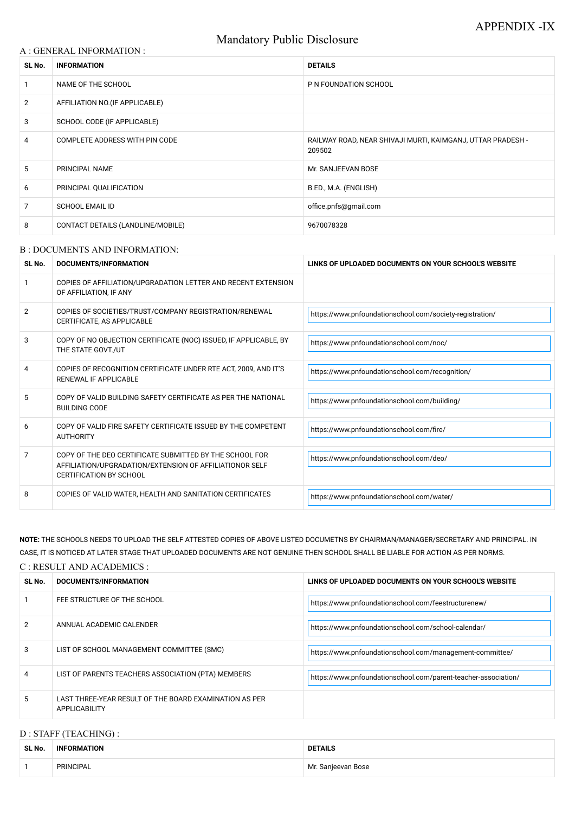# Mandatory Public Disclosure

#### A : GENERAL INFORMATION :

| SL No.          | <b>INFORMATION</b>                | <b>DETAILS</b>                                                        |  |
|-----------------|-----------------------------------|-----------------------------------------------------------------------|--|
|                 | NAME OF THE SCHOOL                | P N FOUNDATION SCHOOL                                                 |  |
| $\overline{2}$  | AFFILIATION NO. (IF APPLICABLE)   |                                                                       |  |
| 3               | SCHOOL CODE (IF APPLICABLE)       |                                                                       |  |
| 4               | COMPLETE ADDRESS WITH PIN CODE    | RAILWAY ROAD, NEAR SHIVAJI MURTI, KAIMGANJ, UTTAR PRADESH -<br>209502 |  |
| $5\overline{)}$ | PRINCIPAL NAME                    | Mr. SANJEEVAN BOSE                                                    |  |
| 6               | PRINCIPAL QUALIFICATION           | B.ED., M.A. (ENGLISH)                                                 |  |
| 7               | <b>SCHOOL EMAIL ID</b>            | office.pnfs@gmail.com                                                 |  |
| 8               | CONTACT DETAILS (LANDLINE/MOBILE) | 9670078328                                                            |  |

#### B : DOCUMENTS AND INFORMATION:

| SL No. | DOCUMENTS/INFORMATION                                                                                                                                | LINKS OF UPLOADED DOCUMENTS ON YOUR SCHOOL'S WEBSITE     |
|--------|------------------------------------------------------------------------------------------------------------------------------------------------------|----------------------------------------------------------|
|        | COPIES OF AFFILIATION/UPGRADATION LETTER AND RECENT EXTENSION<br>OF AFFILIATION, IF ANY                                                              |                                                          |
| 2      | COPIES OF SOCIETIES/TRUST/COMPANY REGISTRATION/RENEWAL<br>CERTIFICATE, AS APPLICABLE                                                                 | https://www.pnfoundationschool.com/society-registration/ |
| 3      | COPY OF NO OBJECTION CERTIFICATE (NOC) ISSUED, IF APPLICABLE, BY<br>THE STATE GOVT./UT                                                               | https://www.pnfoundationschool.com/noc/                  |
| 4      | COPIES OF RECOGNITION CERTIFICATE UNDER RTE ACT, 2009, AND IT'S<br><b>RENEWAL IF APPLICABLE</b>                                                      | https://www.pnfoundationschool.com/recognition/          |
| 5      | COPY OF VALID BUILDING SAFETY CERTIFICATE AS PER THE NATIONAL<br><b>BUILDING CODE</b>                                                                | https://www.pnfoundationschool.com/building/             |
| 6      | COPY OF VALID FIRE SAFETY CERTIFICATE ISSUED BY THE COMPETENT<br><b>AUTHORITY</b>                                                                    | https://www.pnfoundationschool.com/fire/                 |
| 7      | COPY OF THE DEO CERTIFICATE SUBMITTED BY THE SCHOOL FOR<br>AFFILIATION/UPGRADATION/EXTENSION OF AFFILIATIONOR SELF<br><b>CERTIFICATION BY SCHOOL</b> | https://www.pnfoundationschool.com/deo/                  |
| 8      | COPIES OF VALID WATER, HEALTH AND SANITATION CERTIFICATES                                                                                            | https://www.pnfoundationschool.com/water/                |

**NOTE:** THE SCHOOLS NEEDS TO UPLOAD THE SELF ATTESTED COPIES OF ABOVE LISTED DOCUMETNS BY CHAIRMAN/MANAGER/SECRETARY AND PRINCIPAL. IN CASE, IT IS NOTICED AT LATER STAGE THAT UPLOADED DOCUMENTS ARE NOT GENUINE THEN SCHOOL SHALL BE LIABLE FOR ACTION AS PER NORMS. C : RESULT AND ACADEMICS :

| SL No. | <b>DOCUMENTS/INFORMATION</b> | LINKS OF UPLOADED DOCUMENTS ON YOUR SCHOOL'S WEBSITE |  |
|--------|------------------------------|------------------------------------------------------|--|
|        | FEE STRUCTURE OF THE SCHOOL  | https://www.pnfoundationschool.com/feestructurenew/  |  |

| 2              | ANNUAL ACADEMIC CALENDER                                                | https://www.pnfoundationschool.com/school-calendar/            |
|----------------|-------------------------------------------------------------------------|----------------------------------------------------------------|
| $\mathbf{3}$   | LIST OF SCHOOL MANAGEMENT COMMITTEE (SMC)                               | https://www.pnfoundationschool.com/management-committee/       |
| $\overline{4}$ | LIST OF PARENTS TEACHERS ASSOCIATION (PTA) MEMBERS                      | https://www.pnfoundationschool.com/parent-teacher-association/ |
| 5              | LAST THREE-YEAR RESULT OF THE BOARD EXAMINATION AS PER<br>APPLICABILITY |                                                                |

# D : STAFF (TEACHING) :

| SL No. | <b>ORMATION</b><br>INF | <b>DETAILS</b>     |
|--------|------------------------|--------------------|
|        | PRINCIPAL              | Mr. Sanjeevan Bose |